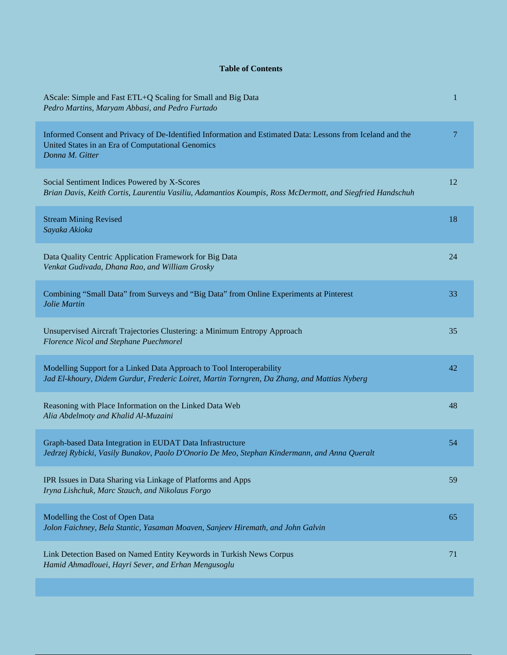## **Table of Contents**

| AScale: Simple and Fast ETL+Q Scaling for Small and Big Data<br>Pedro Martins, Maryam Abbasi, and Pedro Furtado                                                                    | 1  |
|------------------------------------------------------------------------------------------------------------------------------------------------------------------------------------|----|
| Informed Consent and Privacy of De-Identified Information and Estimated Data: Lessons from Iceland and the<br>United States in an Era of Computational Genomics<br>Donna M. Gitter | 7  |
| Social Sentiment Indices Powered by X-Scores<br>Brian Davis, Keith Cortis, Laurentiu Vasiliu, Adamantios Koumpis, Ross McDermott, and Siegfried Handschuh                          | 12 |
| <b>Stream Mining Revised</b><br>Sayaka Akioka                                                                                                                                      | 18 |
| Data Quality Centric Application Framework for Big Data<br>Venkat Gudivada, Dhana Rao, and William Grosky                                                                          | 24 |
| Combining "Small Data" from Surveys and "Big Data" from Online Experiments at Pinterest<br>Jolie Martin                                                                            | 33 |
| Unsupervised Aircraft Trajectories Clustering: a Minimum Entropy Approach<br>Florence Nicol and Stephane Puechmorel                                                                | 35 |
| Modelling Support for a Linked Data Approach to Tool Interoperability<br>Jad El-khoury, Didem Gurdur, Frederic Loiret, Martin Torngren, Da Zhang, and Mattias Nyberg               | 42 |
| Reasoning with Place Information on the Linked Data Web<br>Alia Abdelmoty and Khalid Al-Muzaini                                                                                    | 48 |
| Graph-based Data Integration in EUDAT Data Infrastructure<br>Jedrzej Rybicki, Vasily Bunakov, Paolo D'Onorio De Meo, Stephan Kindermann, and Anna Queralt                          | 54 |
| IPR Issues in Data Sharing via Linkage of Platforms and Apps<br>Iryna Lishchuk, Marc Stauch, and Nikolaus Forgo                                                                    | 59 |
| Modelling the Cost of Open Data<br>Jolon Faichney, Bela Stantic, Yasaman Moaven, Sanjeev Hiremath, and John Galvin                                                                 | 65 |
| Link Detection Based on Named Entity Keywords in Turkish News Corpus<br>Hamid Ahmadlouei, Hayri Sever, and Erhan Mengusoglu                                                        | 71 |